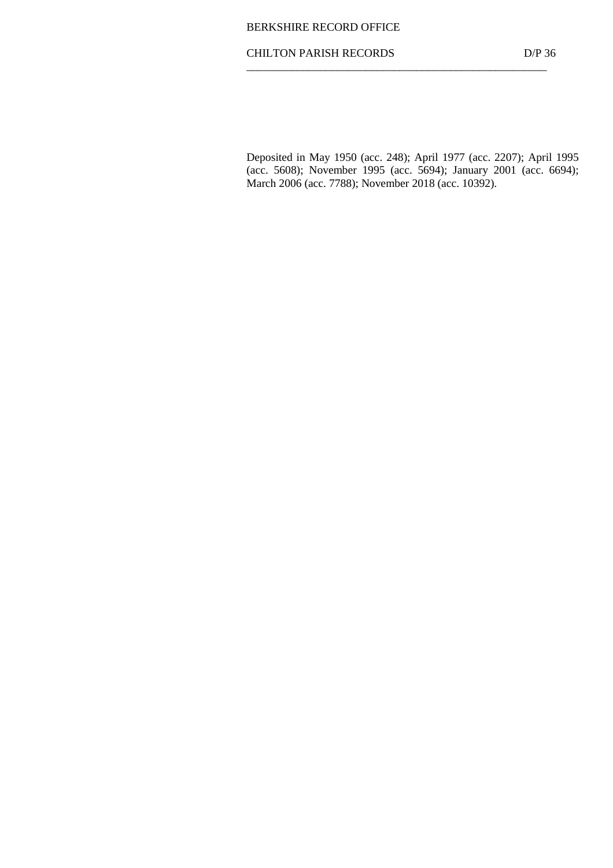## CHILTON PARISH RECORDS D/P 36  $\frac{1}{\sqrt{2\pi}}$  ,  $\frac{1}{\sqrt{2\pi}}$  ,  $\frac{1}{\sqrt{2\pi}}$  ,  $\frac{1}{\sqrt{2\pi}}$  ,  $\frac{1}{\sqrt{2\pi}}$  ,  $\frac{1}{\sqrt{2\pi}}$  ,  $\frac{1}{\sqrt{2\pi}}$  ,  $\frac{1}{\sqrt{2\pi}}$  ,  $\frac{1}{\sqrt{2\pi}}$  ,  $\frac{1}{\sqrt{2\pi}}$  ,  $\frac{1}{\sqrt{2\pi}}$  ,  $\frac{1}{\sqrt{2\pi}}$  ,  $\frac{1}{\sqrt{2\pi}}$  ,

Deposited in May 1950 (acc. 248); April 1977 (acc. 2207); April 1995 (acc. 5608); November 1995 (acc. 5694); January 2001 (acc. 6694); March 2006 (acc. 7788); November 2018 (acc. 10392).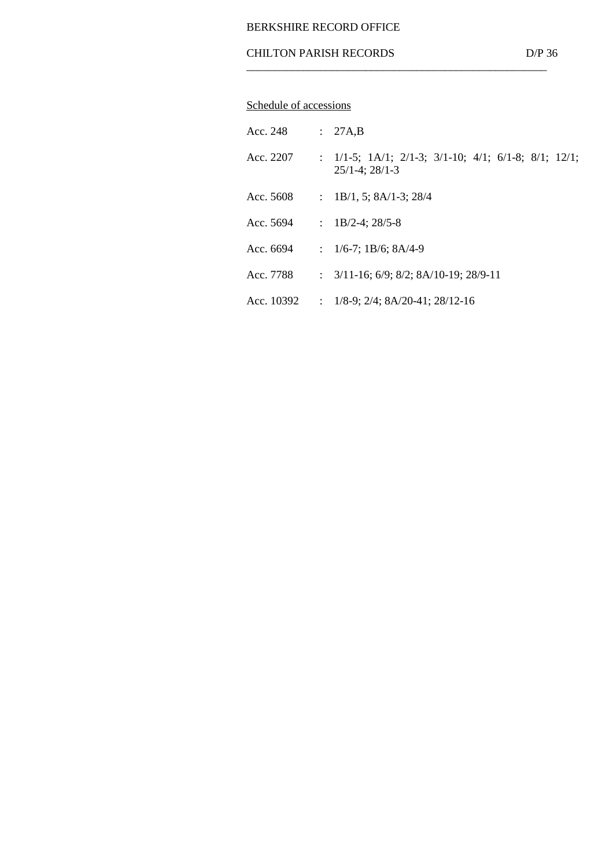## CHILTON PARISH RECORDS D/P 36  $\frac{1}{\sqrt{2\pi}}$  ,  $\frac{1}{\sqrt{2\pi}}$  ,  $\frac{1}{\sqrt{2\pi}}$  ,  $\frac{1}{\sqrt{2\pi}}$  ,  $\frac{1}{\sqrt{2\pi}}$  ,  $\frac{1}{\sqrt{2\pi}}$  ,  $\frac{1}{\sqrt{2\pi}}$  ,  $\frac{1}{\sqrt{2\pi}}$  ,  $\frac{1}{\sqrt{2\pi}}$  ,  $\frac{1}{\sqrt{2\pi}}$  ,  $\frac{1}{\sqrt{2\pi}}$  ,  $\frac{1}{\sqrt{2\pi}}$  ,  $\frac{1}{\sqrt{2\pi}}$  ,

# Schedule of accessions

| Acc. 248   |                | : 27A,B                                                                                             |
|------------|----------------|-----------------------------------------------------------------------------------------------------|
| Acc. 2207  |                | : $1/1-5$ ; $1A/1$ ; $2/1-3$ ; $3/1-10$ ; $4/1$ ; $6/1-8$ ; $8/1$ ; $12/1$ ;<br>$25/1-4$ ; $28/1-3$ |
| Acc. 5608  |                | : $1B/1$ , 5; $8A/1-3$ ; $28/4$                                                                     |
| Acc. 5694  | $\mathcal{L}$  | $1B/2-4$ ; 28/5-8                                                                                   |
| Acc. 6694  |                | : $1/6-7$ ; $1B/6$ ; $8A/4-9$                                                                       |
| Acc. 7788  |                | : $3/11-16$ ; $6/9$ ; $8/2$ ; $8A/10-19$ ; $28/9-11$                                                |
| Acc. 10392 | $\ddot{\cdot}$ | $1/8-9$ ; $2/4$ ; $8A/20-41$ ; $28/12-16$                                                           |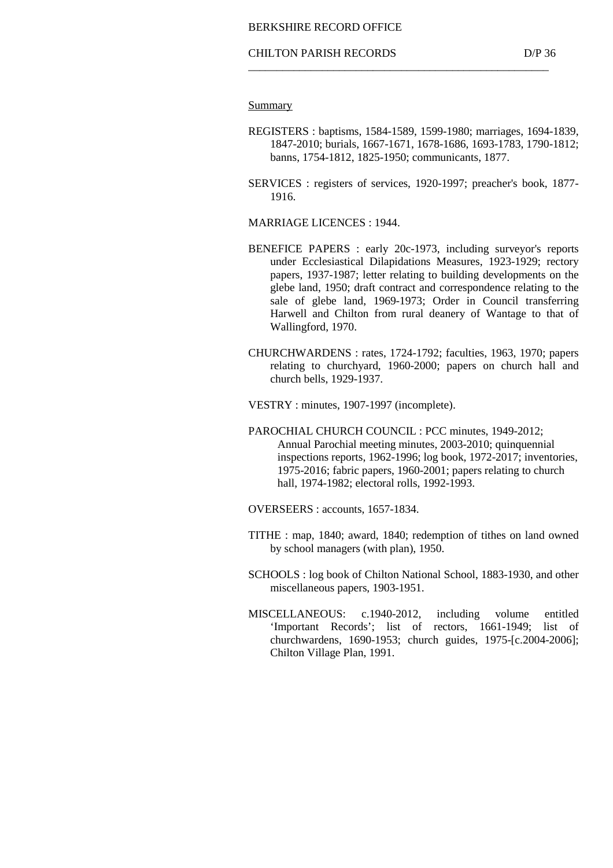#### **Summary**

- REGISTERS : baptisms, 1584-1589, 1599-1980; marriages, 1694-1839, 1847-2010; burials, 1667-1671, 1678-1686, 1693-1783, 1790-1812; banns, 1754-1812, 1825-1950; communicants, 1877.
- SERVICES : registers of services, 1920-1997; preacher's book, 1877- 1916.

MARRIAGE LICENCES : 1944.

- BENEFICE PAPERS : early 20c-1973, including surveyor's reports under Ecclesiastical Dilapidations Measures, 1923-1929; rectory papers, 1937-1987; letter relating to building developments on the glebe land, 1950; draft contract and correspondence relating to the sale of glebe land, 1969-1973; Order in Council transferring Harwell and Chilton from rural deanery of Wantage to that of Wallingford, 1970.
- CHURCHWARDENS : rates, 1724-1792; faculties, 1963, 1970; papers relating to churchyard, 1960-2000; papers on church hall and church bells, 1929-1937.

VESTRY : minutes, 1907-1997 (incomplete).

- PAROCHIAL CHURCH COUNCIL : PCC minutes, 1949-2012; Annual Parochial meeting minutes, 2003-2010; quinquennial inspections reports, 1962-1996; log book, 1972-2017; inventories, 1975-2016; fabric papers, 1960-2001; papers relating to church hall, 1974-1982; electoral rolls, 1992-1993.
- OVERSEERS : accounts, 1657-1834.
- TITHE : map, 1840; award, 1840; redemption of tithes on land owned by school managers (with plan), 1950.
- SCHOOLS : log book of Chilton National School, 1883-1930, and other miscellaneous papers, 1903-1951.
- MISCELLANEOUS: c.1940-2012, including volume entitled 'Important Records'; list of rectors, 1661-1949; list of churchwardens, 1690-1953; church guides, 1975-[c.2004-2006]; Chilton Village Plan, 1991.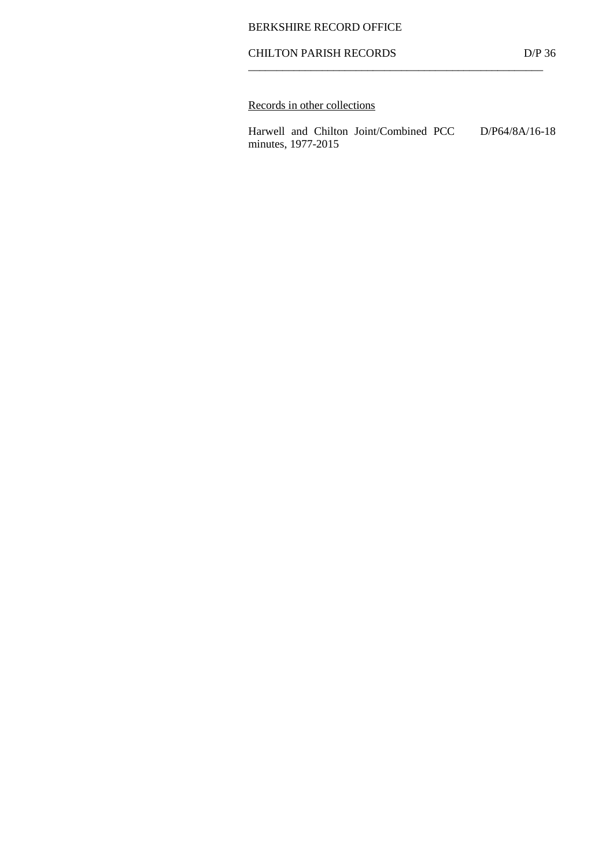## CHILTON PARISH RECORDS D/P 36  $\frac{1}{\sqrt{2\pi}}$  ,  $\frac{1}{\sqrt{2\pi}}$  ,  $\frac{1}{\sqrt{2\pi}}$  ,  $\frac{1}{\sqrt{2\pi}}$  ,  $\frac{1}{\sqrt{2\pi}}$  ,  $\frac{1}{\sqrt{2\pi}}$  ,  $\frac{1}{\sqrt{2\pi}}$  ,  $\frac{1}{\sqrt{2\pi}}$  ,  $\frac{1}{\sqrt{2\pi}}$  ,  $\frac{1}{\sqrt{2\pi}}$  ,  $\frac{1}{\sqrt{2\pi}}$  ,  $\frac{1}{\sqrt{2\pi}}$  ,  $\frac{1}{\sqrt{2\pi}}$  ,

# Records in other collections

 Harwell and Chilton Joint/Combined PCC D/P64/8A/16-18 minutes, 1977-2015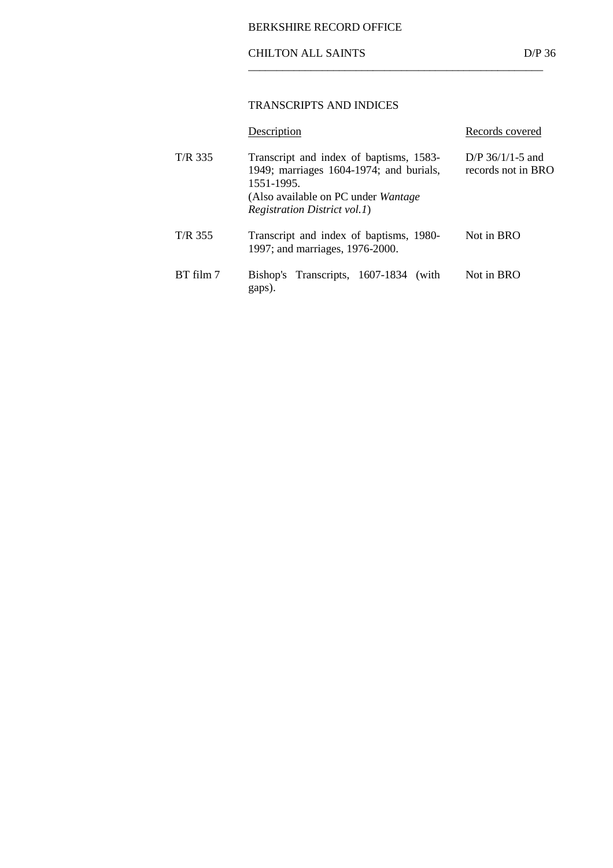## CHILTON ALL SAINTS D/P 36

## TRANSCRIPTS AND INDICES

 $\frac{1}{\sqrt{2\pi}}$  ,  $\frac{1}{\sqrt{2\pi}}$  ,  $\frac{1}{\sqrt{2\pi}}$  ,  $\frac{1}{\sqrt{2\pi}}$  ,  $\frac{1}{\sqrt{2\pi}}$  ,  $\frac{1}{\sqrt{2\pi}}$  ,  $\frac{1}{\sqrt{2\pi}}$  ,  $\frac{1}{\sqrt{2\pi}}$  ,  $\frac{1}{\sqrt{2\pi}}$  ,  $\frac{1}{\sqrt{2\pi}}$  ,  $\frac{1}{\sqrt{2\pi}}$  ,  $\frac{1}{\sqrt{2\pi}}$  ,  $\frac{1}{\sqrt{2\pi}}$  ,

|           | Description                                                                                                                                                                     | Records covered                          |
|-----------|---------------------------------------------------------------------------------------------------------------------------------------------------------------------------------|------------------------------------------|
| T/R 335   | Transcript and index of baptisms, 1583-<br>1949; marriages 1604-1974; and burials,<br>1551-1995.<br>(Also available on PC under Wantage<br><i>Registration District vol.1</i> ) | D/P $36/1/1-5$ and<br>records not in BRO |
| T/R 355   | Transcript and index of baptisms, 1980-<br>1997; and marriages, 1976-2000.                                                                                                      | Not in BRO                               |
| BT film 7 | Bishop's Transcripts, 1607-1834 (with<br>gaps).                                                                                                                                 | Not in BRO                               |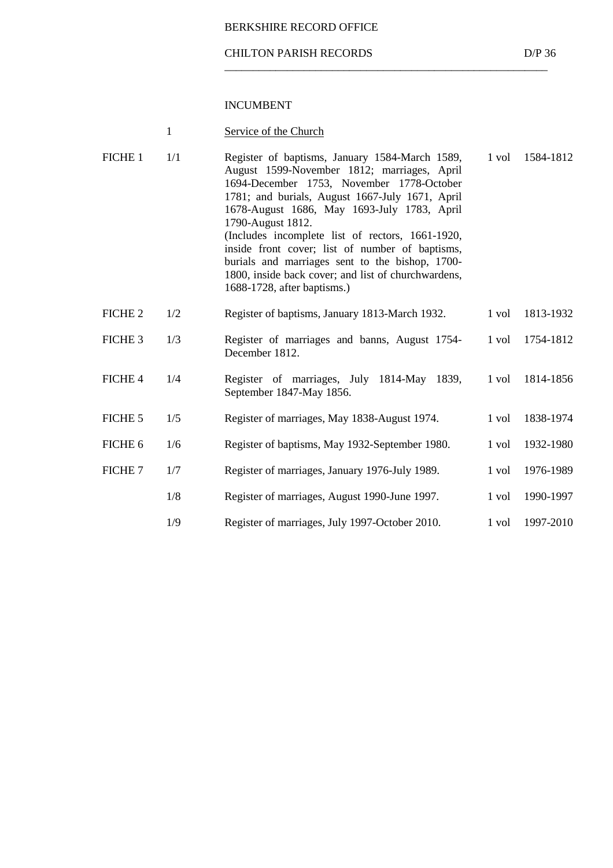#### CHILTON PARISH RECORDS D/P 36

\_\_\_\_\_\_\_\_\_\_\_\_\_\_\_\_\_\_\_\_\_\_\_\_\_\_\_\_\_\_\_\_\_\_\_\_\_\_\_\_\_\_\_\_\_\_\_\_\_\_\_\_\_\_\_\_\_

|--|

| FICHE 1            | 1/1 | Register of baptisms, January 1584-March 1589,<br>August 1599-November 1812; marriages, April<br>1694-December 1753, November 1778-October<br>1781; and burials, August 1667-July 1671, April<br>1678-August 1686, May 1693-July 1783, April<br>1790-August 1812.<br>(Includes incomplete list of rectors, 1661-1920,<br>inside front cover; list of number of baptisms,<br>burials and marriages sent to the bishop, 1700-<br>1800, inside back cover; and list of churchwardens,<br>1688-1728, after baptisms.) | 1 vol | 1584-1812 |
|--------------------|-----|-------------------------------------------------------------------------------------------------------------------------------------------------------------------------------------------------------------------------------------------------------------------------------------------------------------------------------------------------------------------------------------------------------------------------------------------------------------------------------------------------------------------|-------|-----------|
| FICHE <sub>2</sub> | 1/2 | Register of baptisms, January 1813-March 1932.                                                                                                                                                                                                                                                                                                                                                                                                                                                                    | 1 vol | 1813-1932 |
| FICHE <sub>3</sub> | 1/3 | Register of marriages and banns, August 1754-<br>December 1812.                                                                                                                                                                                                                                                                                                                                                                                                                                                   | 1 vol | 1754-1812 |
| FICHE 4            | 1/4 | Register of marriages, July 1814-May 1839,<br>September 1847-May 1856.                                                                                                                                                                                                                                                                                                                                                                                                                                            | 1 vol | 1814-1856 |
| FICHE 5            | 1/5 | Register of marriages, May 1838-August 1974.                                                                                                                                                                                                                                                                                                                                                                                                                                                                      | 1 vol | 1838-1974 |
| FICHE 6            | 1/6 | Register of baptisms, May 1932-September 1980.                                                                                                                                                                                                                                                                                                                                                                                                                                                                    | 1 vol | 1932-1980 |
| FICHE 7            | 1/7 | Register of marriages, January 1976-July 1989.                                                                                                                                                                                                                                                                                                                                                                                                                                                                    | 1 vol | 1976-1989 |
|                    | 1/8 | Register of marriages, August 1990-June 1997.                                                                                                                                                                                                                                                                                                                                                                                                                                                                     | 1 vol | 1990-1997 |
|                    | 1/9 | Register of marriages, July 1997-October 2010.                                                                                                                                                                                                                                                                                                                                                                                                                                                                    | 1 vol | 1997-2010 |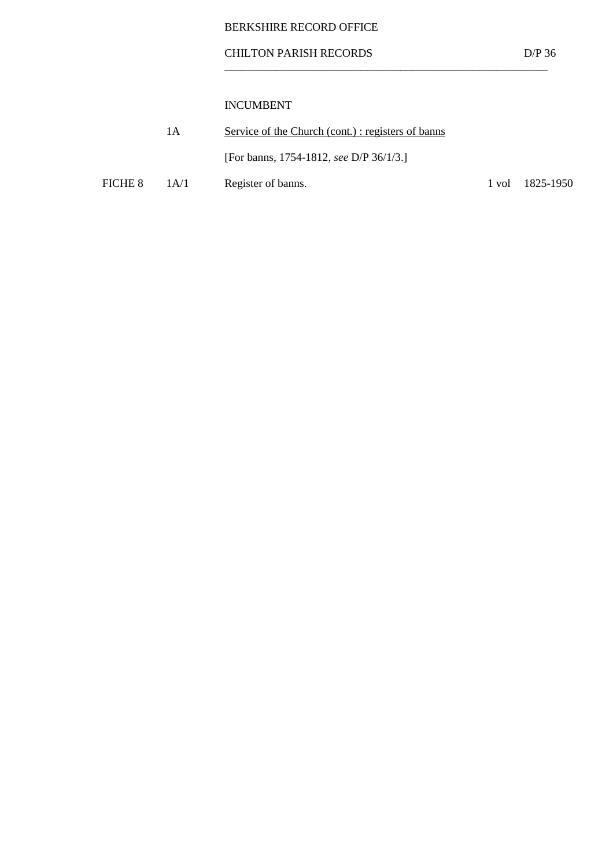## CHILTON PARISH RECORDS D/P 36

\_\_\_\_\_\_\_\_\_\_\_\_\_\_\_\_\_\_\_\_\_\_\_\_\_\_\_\_\_\_\_\_\_\_\_\_\_\_\_\_\_\_\_\_\_\_\_\_\_\_\_\_\_\_\_\_\_

|         | 1 A  | Service of the Church (cont.): registers of banns |                               |
|---------|------|---------------------------------------------------|-------------------------------|
|         |      | [For banns, 1754-1812, see D/P 36/1/3.]           |                               |
| FICHE 8 | 1A/1 | Register of banns.                                | $1 \text{ vol}$ $1825 - 1950$ |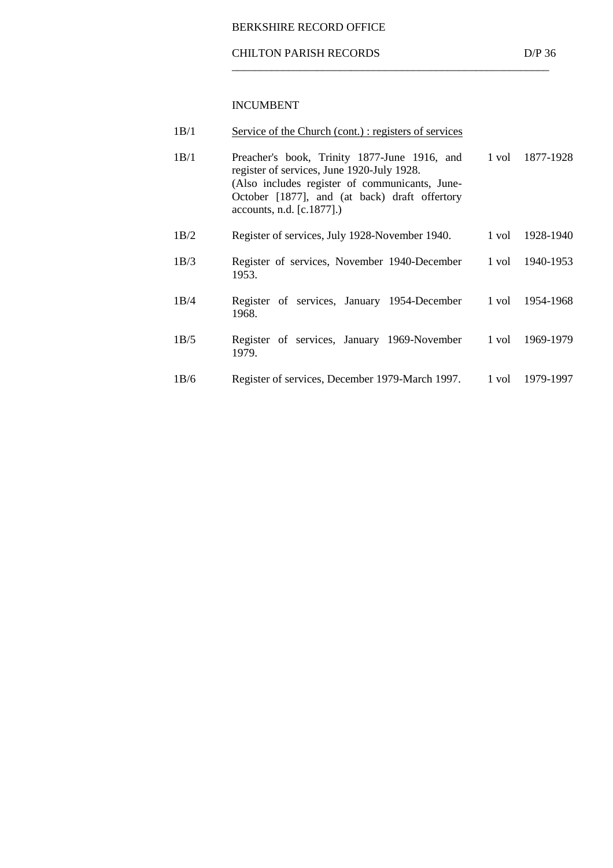## CHILTON PARISH RECORDS D/P 36

 $\overline{\phantom{a}}$  ,  $\overline{\phantom{a}}$  ,  $\overline{\phantom{a}}$  ,  $\overline{\phantom{a}}$  ,  $\overline{\phantom{a}}$  ,  $\overline{\phantom{a}}$  ,  $\overline{\phantom{a}}$  ,  $\overline{\phantom{a}}$  ,  $\overline{\phantom{a}}$  ,  $\overline{\phantom{a}}$  ,  $\overline{\phantom{a}}$  ,  $\overline{\phantom{a}}$  ,  $\overline{\phantom{a}}$  ,  $\overline{\phantom{a}}$  ,  $\overline{\phantom{a}}$  ,  $\overline{\phantom{a}}$ 

| 1B/1 | <u>Service of the Church (cont.): registers of services</u>                                                                                                                                                                |       |           |
|------|----------------------------------------------------------------------------------------------------------------------------------------------------------------------------------------------------------------------------|-------|-----------|
| 1B/1 | Preacher's book, Trinity 1877-June 1916, and<br>register of services, June 1920-July 1928.<br>(Also includes register of communicants, June-<br>October [1877], and (at back) draft offertory<br>accounts, n.d. [c.1877].) | 1 vol | 1877-1928 |
| 1B/2 | Register of services, July 1928-November 1940.                                                                                                                                                                             | 1 vol | 1928-1940 |
| 1B/3 | Register of services, November 1940-December<br>1953.                                                                                                                                                                      | 1 vol | 1940-1953 |
| 1B/4 | Register of services, January 1954-December<br>1968.                                                                                                                                                                       | 1 vol | 1954-1968 |
| 1B/5 | Register of services, January 1969-November<br>1979.                                                                                                                                                                       | 1 vol | 1969-1979 |
| 1B/6 | Register of services, December 1979-March 1997.                                                                                                                                                                            | 1 vol | 1979-1997 |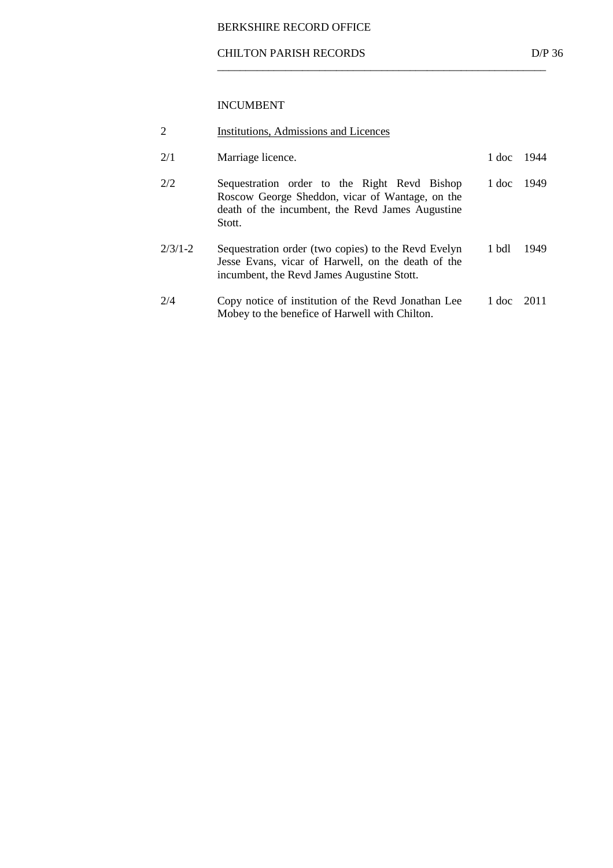#### CHILTON PARISH RECORDS D/P 36

\_\_\_\_\_\_\_\_\_\_\_\_\_\_\_\_\_\_\_\_\_\_\_\_\_\_\_\_\_\_\_\_\_\_\_\_\_\_\_\_\_\_\_\_\_\_\_\_\_\_\_\_\_\_\_\_\_\_

| 2         | Institutions, Admissions and Licences                                                                                                                         |       |      |
|-----------|---------------------------------------------------------------------------------------------------------------------------------------------------------------|-------|------|
| 2/1       | Marriage licence.                                                                                                                                             | 1 doc | 1944 |
| 2/2       | Sequestration order to the Right Revd Bishop<br>Roscow George Sheddon, vicar of Wantage, on the<br>death of the incumbent, the Revd James Augustine<br>Stott. | 1 doc | 1949 |
| $2/3/1-2$ | Sequestration order (two copies) to the Revd Evelyn<br>Jesse Evans, vicar of Harwell, on the death of the<br>incumbent, the Revd James Augustine Stott.       | 1 bdl | 1949 |
| 2/4       | Copy notice of institution of the Revel Jonathan Lee<br>Mobey to the benefice of Harwell with Chilton.                                                        | 1 doc | 2011 |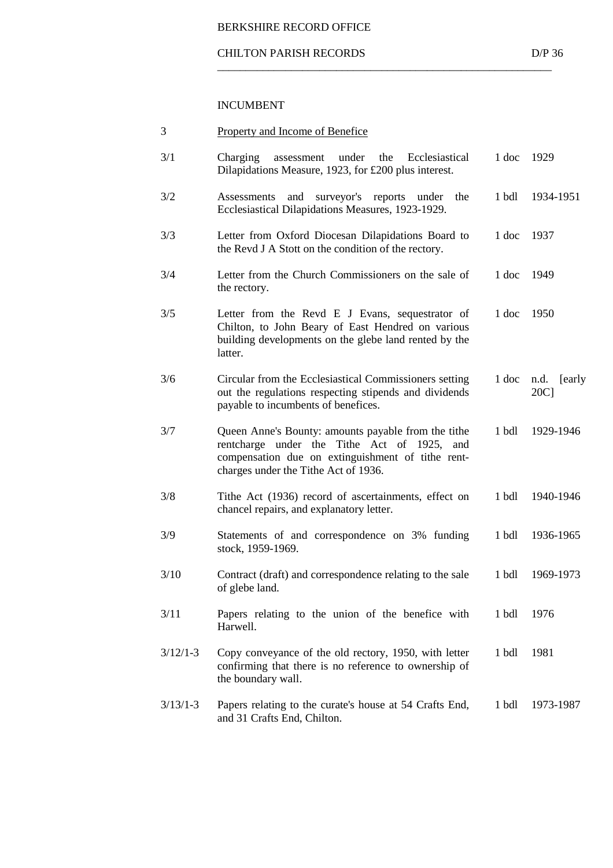$\overline{\phantom{a}}$  ,  $\overline{\phantom{a}}$  ,  $\overline{\phantom{a}}$  ,  $\overline{\phantom{a}}$  ,  $\overline{\phantom{a}}$  ,  $\overline{\phantom{a}}$  ,  $\overline{\phantom{a}}$  ,  $\overline{\phantom{a}}$  ,  $\overline{\phantom{a}}$  ,  $\overline{\phantom{a}}$  ,  $\overline{\phantom{a}}$  ,  $\overline{\phantom{a}}$  ,  $\overline{\phantom{a}}$  ,  $\overline{\phantom{a}}$  ,  $\overline{\phantom{a}}$  ,  $\overline{\phantom{a}}$ 

| 3          | <b>Property and Income of Benefice</b>                                                                                                                                                          |         |                        |
|------------|-------------------------------------------------------------------------------------------------------------------------------------------------------------------------------------------------|---------|------------------------|
| 3/1        | Charging<br>under<br>assessment<br>the<br>Ecclesiastical<br>Dilapidations Measure, 1923, for £200 plus interest.                                                                                | 1 doc   | 1929                   |
| 3/2        | surveyor's reports<br>Assessments<br>and<br>under<br>the<br>Ecclesiastical Dilapidations Measures, 1923-1929.                                                                                   | 1 bdl   | 1934-1951              |
| 3/3        | Letter from Oxford Diocesan Dilapidations Board to<br>the Revd J A Stott on the condition of the rectory.                                                                                       | 1 doc   | 1937                   |
| 3/4        | Letter from the Church Commissioners on the sale of<br>the rectory.                                                                                                                             | 1 doc   | 1949                   |
| 3/5        | Letter from the Revd E J Evans, sequestrator of<br>Chilton, to John Beary of East Hendred on various<br>building developments on the glebe land rented by the<br>latter.                        | 1 doc   | 1950                   |
| 3/6        | Circular from the Ecclesiastical Commissioners setting<br>out the regulations respecting stipends and dividends<br>payable to incumbents of benefices.                                          | $1$ doc | n.d.<br>[early]<br>20C |
| 3/7        | Queen Anne's Bounty: amounts payable from the tithe<br>rentcharge under the Tithe Act of 1925, and<br>compensation due on extinguishment of tithe rent-<br>charges under the Tithe Act of 1936. | 1 bdl   | 1929-1946              |
| 3/8        | Tithe Act (1936) record of ascertainments, effect on<br>chancel repairs, and explanatory letter.                                                                                                | 1 bdl   | 1940-1946              |
| 3/9        | Statements of and correspondence on 3% funding<br>stock, 1959-1969.                                                                                                                             | 1 bdl   | 1936-1965              |
| 3/10       | Contract (draft) and correspondence relating to the sale<br>of glebe land.                                                                                                                      | 1 bdl   | 1969-1973              |
| 3/11       | Papers relating to the union of the benefice with<br>Harwell.                                                                                                                                   | 1 bdl   | 1976                   |
| $3/12/1-3$ | Copy conveyance of the old rectory, 1950, with letter<br>confirming that there is no reference to ownership of<br>the boundary wall.                                                            | 1 bdl   | 1981                   |
| $3/13/1-3$ | Papers relating to the curate's house at 54 Crafts End,<br>and 31 Crafts End, Chilton.                                                                                                          | 1 bdl   | 1973-1987              |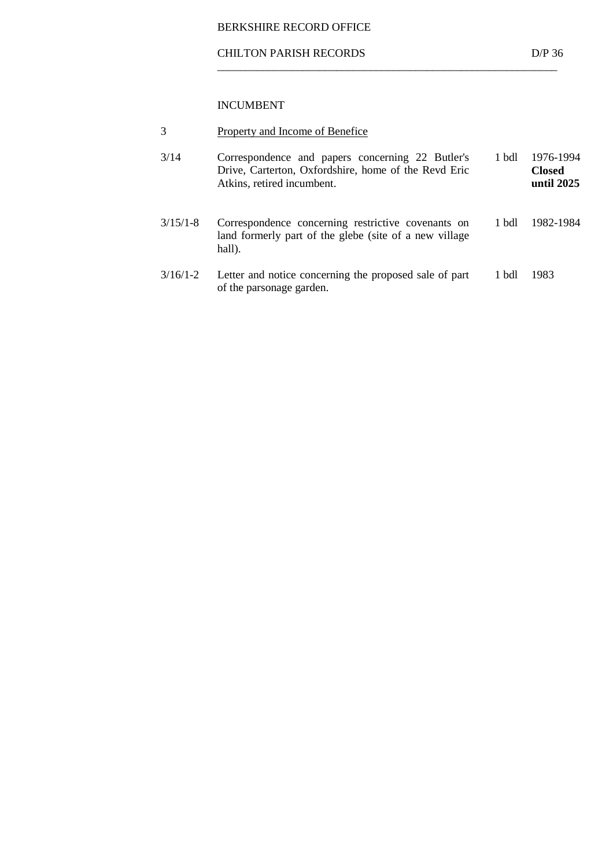#### CHILTON PARISH RECORDS D/P 36

 $\overline{\phantom{a}}$  ,  $\overline{\phantom{a}}$  ,  $\overline{\phantom{a}}$  ,  $\overline{\phantom{a}}$  ,  $\overline{\phantom{a}}$  ,  $\overline{\phantom{a}}$  ,  $\overline{\phantom{a}}$  ,  $\overline{\phantom{a}}$  ,  $\overline{\phantom{a}}$  ,  $\overline{\phantom{a}}$  ,  $\overline{\phantom{a}}$  ,  $\overline{\phantom{a}}$  ,  $\overline{\phantom{a}}$  ,  $\overline{\phantom{a}}$  ,  $\overline{\phantom{a}}$  ,  $\overline{\phantom{a}}$ 

|  |  |  | Property and Income of Benefice |
|--|--|--|---------------------------------|
|  |  |  |                                 |

| 3/14         | Correspondence and papers concerning 22 Butler's<br>Drive, Carterton, Oxfordshire, home of the Revd Eric<br>Atkins, retired incumbent. | 1 bdl | 1976-1994<br><b>Closed</b><br>until 2025 |
|--------------|----------------------------------------------------------------------------------------------------------------------------------------|-------|------------------------------------------|
| $3/15/1 - 8$ | Correspondence concerning restrictive covenants on<br>land formerly part of the glebe (site of a new village)<br>hall).                | 1 bdl | 1982-1984                                |
| $3/16/1-2$   | Letter and notice concerning the proposed sale of part<br>of the parsonage garden.                                                     | 1 bdl | 1983                                     |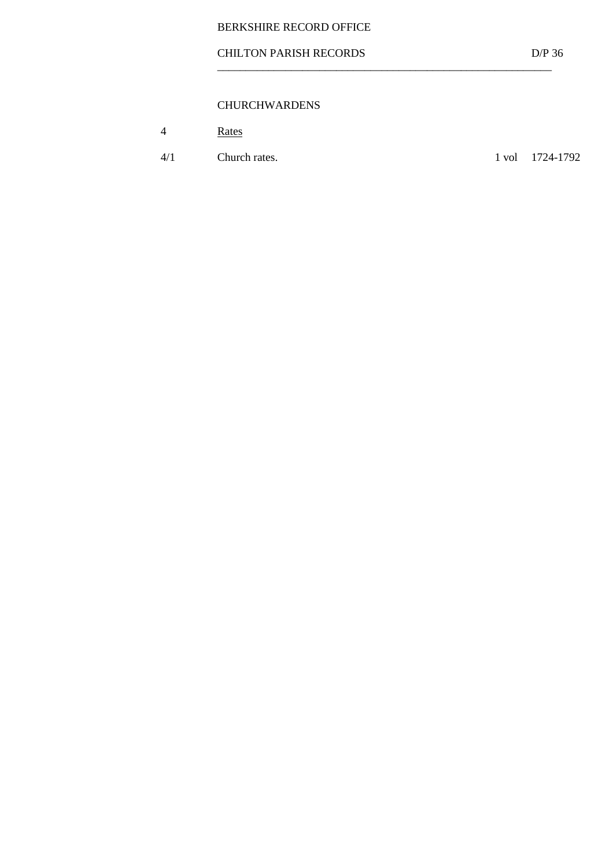## CHILTON PARISH RECORDS D/P 36

 $\overline{\phantom{a}}$  ,  $\overline{\phantom{a}}$  ,  $\overline{\phantom{a}}$  ,  $\overline{\phantom{a}}$  ,  $\overline{\phantom{a}}$  ,  $\overline{\phantom{a}}$  ,  $\overline{\phantom{a}}$  ,  $\overline{\phantom{a}}$  ,  $\overline{\phantom{a}}$  ,  $\overline{\phantom{a}}$  ,  $\overline{\phantom{a}}$  ,  $\overline{\phantom{a}}$  ,  $\overline{\phantom{a}}$  ,  $\overline{\phantom{a}}$  ,  $\overline{\phantom{a}}$  ,  $\overline{\phantom{a}}$ 

## CHURCHWARDENS

|  | Rates |
|--|-------|
|--|-------|

4/1 Church rates. 1 vol 1724-1792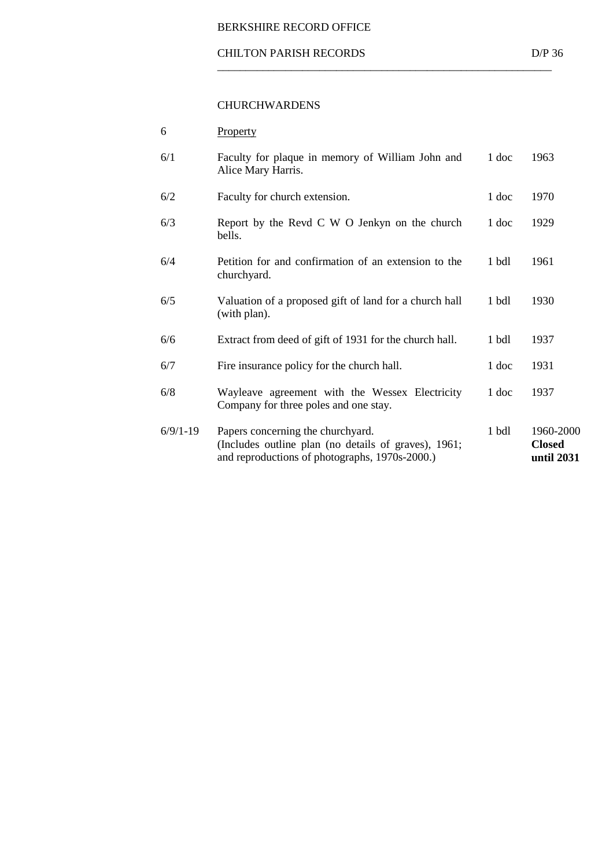#### CHILTON PARISH RECORDS D/P 36

 $\overline{\phantom{a}}$  ,  $\overline{\phantom{a}}$  ,  $\overline{\phantom{a}}$  ,  $\overline{\phantom{a}}$  ,  $\overline{\phantom{a}}$  ,  $\overline{\phantom{a}}$  ,  $\overline{\phantom{a}}$  ,  $\overline{\phantom{a}}$  ,  $\overline{\phantom{a}}$  ,  $\overline{\phantom{a}}$  ,  $\overline{\phantom{a}}$  ,  $\overline{\phantom{a}}$  ,  $\overline{\phantom{a}}$  ,  $\overline{\phantom{a}}$  ,  $\overline{\phantom{a}}$  ,  $\overline{\phantom{a}}$ 

#### CHURCHWARDENS

| 6          | Property                                                                                                                                    |         |                                          |
|------------|---------------------------------------------------------------------------------------------------------------------------------------------|---------|------------------------------------------|
| 6/1        | Faculty for plaque in memory of William John and<br>Alice Mary Harris.                                                                      | 1 doc   | 1963                                     |
| 6/2        | Faculty for church extension.                                                                                                               | 1 doc   | 1970                                     |
| 6/3        | Report by the Revd C W O Jenkyn on the church<br>bells.                                                                                     | 1 doc   | 1929                                     |
| 6/4        | Petition for and confirmation of an extension to the<br>churchyard.                                                                         | 1 bdl   | 1961                                     |
| 6/5        | Valuation of a proposed gift of land for a church hall<br>(with plan).                                                                      | 1 bdl   | 1930                                     |
| 6/6        | Extract from deed of gift of 1931 for the church hall.                                                                                      | 1 bdl   | 1937                                     |
| 6/7        | Fire insurance policy for the church hall.                                                                                                  | 1 doc   | 1931                                     |
| 6/8        | Wayleave agreement with the Wessex Electricity<br>Company for three poles and one stay.                                                     | 1 doc   | 1937                                     |
| $6/9/1-19$ | Papers concerning the churchyard.<br>(Includes outline plan (no details of graves), 1961;<br>and reproductions of photographs, 1970s-2000.) | $1$ bdl | 1960-2000<br><b>Closed</b><br>until 2031 |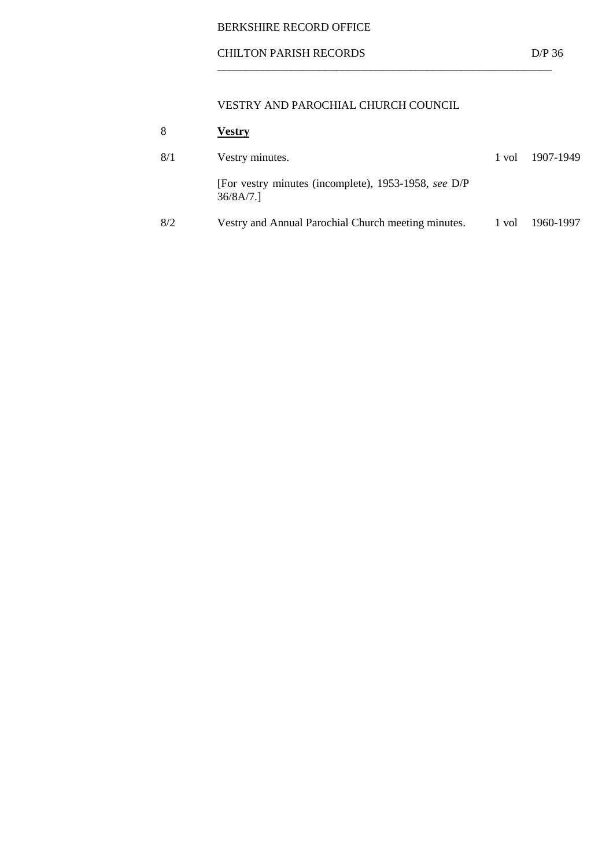## CHILTON PARISH RECORDS D/P 36

## VESTRY AND PAROCHIAL CHURCH COUNCIL

| 8   | <b>Vestry</b>                                                    |       |           |
|-----|------------------------------------------------------------------|-------|-----------|
| 8/1 | Vestry minutes.                                                  | 1 vol | 1907-1949 |
|     | [For vestry minutes (incomplete), 1953-1958, see D/P<br>36/8A/7. |       |           |
| 8/2 | Vestry and Annual Parochial Church meeting minutes.              | 1 vol | 1960-1997 |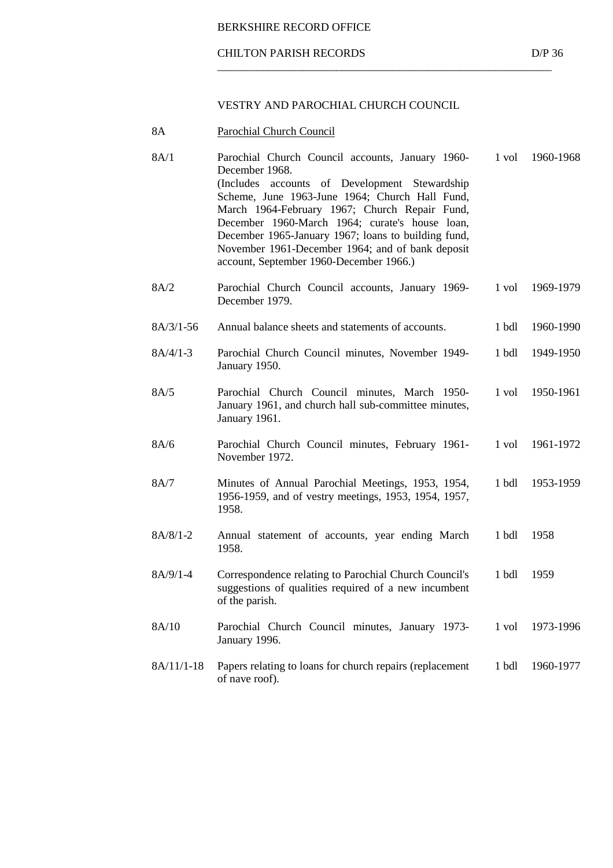#### CHILTON PARISH RECORDS D/P 36

#### VESTRY AND PAROCHIAL CHURCH COUNCIL

 $\overline{\phantom{a}}$  ,  $\overline{\phantom{a}}$  ,  $\overline{\phantom{a}}$  ,  $\overline{\phantom{a}}$  ,  $\overline{\phantom{a}}$  ,  $\overline{\phantom{a}}$  ,  $\overline{\phantom{a}}$  ,  $\overline{\phantom{a}}$  ,  $\overline{\phantom{a}}$  ,  $\overline{\phantom{a}}$  ,  $\overline{\phantom{a}}$  ,  $\overline{\phantom{a}}$  ,  $\overline{\phantom{a}}$  ,  $\overline{\phantom{a}}$  ,  $\overline{\phantom{a}}$  ,  $\overline{\phantom{a}}$ 

 8A Parochial Church Council 8A/1 Parochial Church Council accounts, January 1960- December 1968. (Includes accounts of Development Stewardship Scheme, June 1963-June 1964; Church Hall Fund, March 1964-February 1967; Church Repair Fund, December 1960-March 1964; curate's house loan, December 1965-January 1967; loans to building fund, November 1961-December 1964; and of bank deposit account, September 1960-December 1966.) 1 vol 1960-1968 8A/2 Parochial Church Council accounts, January 1969- December 1979. 1 vol 1969-1979 8A/3/1-56 Annual balance sheets and statements of accounts. 1 bdl 1960-1990 8A/4/1-3 Parochial Church Council minutes, November 1949- January 1950. 1 bdl 1949-1950 8A/5 Parochial Church Council minutes, March 1950- January 1961, and church hall sub-committee minutes, January 1961. 1 vol 1950-1961 8A/6 Parochial Church Council minutes, February 1961- November 1972. 1 vol 1961-1972 8A/7 Minutes of Annual Parochial Meetings, 1953, 1954, 1956-1959, and of vestry meetings, 1953, 1954, 1957, 1958. 1 bdl 1953-1959 8A/8/1-2 Annual statement of accounts, year ending March 1958. 1 bdl 1958 8A/9/1-4 Correspondence relating to Parochial Church Council's suggestions of qualities required of a new incumbent of the parish. 1 bdl 1959 8A/10 Parochial Church Council minutes, January 1973- January 1996. 1 vol 1973-1996 8A/11/1-18 Papers relating to loans for church repairs (replacement of nave roof). 1 bdl 1960-1977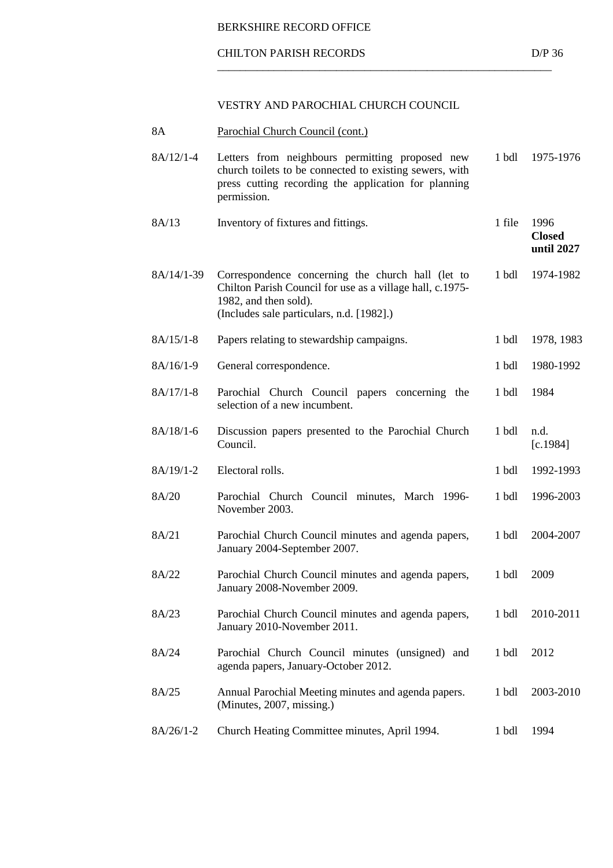#### CHILTON PARISH RECORDS D/P 36

## VESTRY AND PAROCHIAL CHURCH COUNCIL

| 8A          | Parochial Church Council (cont.)                                                                                                                                                     |                  |                                     |
|-------------|--------------------------------------------------------------------------------------------------------------------------------------------------------------------------------------|------------------|-------------------------------------|
| $8A/12/1-4$ | Letters from neighbours permitting proposed new<br>church toilets to be connected to existing sewers, with<br>press cutting recording the application for planning<br>permission.    | 1 bdl            | 1975-1976                           |
| 8A/13       | Inventory of fixtures and fittings.                                                                                                                                                  | 1 file           | 1996<br><b>Closed</b><br>until 2027 |
| 8A/14/1-39  | Correspondence concerning the church hall (let to<br>Chilton Parish Council for use as a village hall, c.1975-<br>1982, and then sold).<br>(Includes sale particulars, n.d. [1982].) | 1 <sub>bdl</sub> | 1974-1982                           |
| $8A/15/1-8$ | Papers relating to stewardship campaigns.                                                                                                                                            | 1 bdl            | 1978, 1983                          |
| $8A/16/1-9$ | General correspondence.                                                                                                                                                              | 1 <sub>bdl</sub> | 1980-1992                           |
| $8A/17/1-8$ | Parochial Church Council papers concerning the<br>selection of a new incumbent.                                                                                                      | 1 bdl            | 1984                                |
| $8A/18/1-6$ | Discussion papers presented to the Parochial Church<br>Council.                                                                                                                      | 1 bdl            | n.d.<br>[c.1984]                    |
| $8A/19/1-2$ | Electoral rolls.                                                                                                                                                                     | 1 bdl            | 1992-1993                           |
| 8A/20       | Parochial Church Council minutes, March 1996-<br>November 2003.                                                                                                                      | 1 <sub>bdl</sub> | 1996-2003                           |
| 8A/21       | Parochial Church Council minutes and agenda papers,<br>January 2004-September 2007.                                                                                                  | 1 <sub>bdl</sub> | 2004-2007                           |
| 8A/22       | Parochial Church Council minutes and agenda papers,<br>January 2008-November 2009.                                                                                                   | 1 bdl            | 2009                                |
| 8A/23       | Parochial Church Council minutes and agenda papers,<br>January 2010-November 2011.                                                                                                   | 1 <sub>bdl</sub> | 2010-2011                           |
| 8A/24       | Parochial Church Council minutes (unsigned) and<br>agenda papers, January-October 2012.                                                                                              | 1 bdl            | 2012                                |
| 8A/25       | Annual Parochial Meeting minutes and agenda papers.<br>(Minutes, 2007, missing.)                                                                                                     | 1 bdl            | 2003-2010                           |
| $8A/26/1-2$ | Church Heating Committee minutes, April 1994.                                                                                                                                        | 1 bdl            | 1994                                |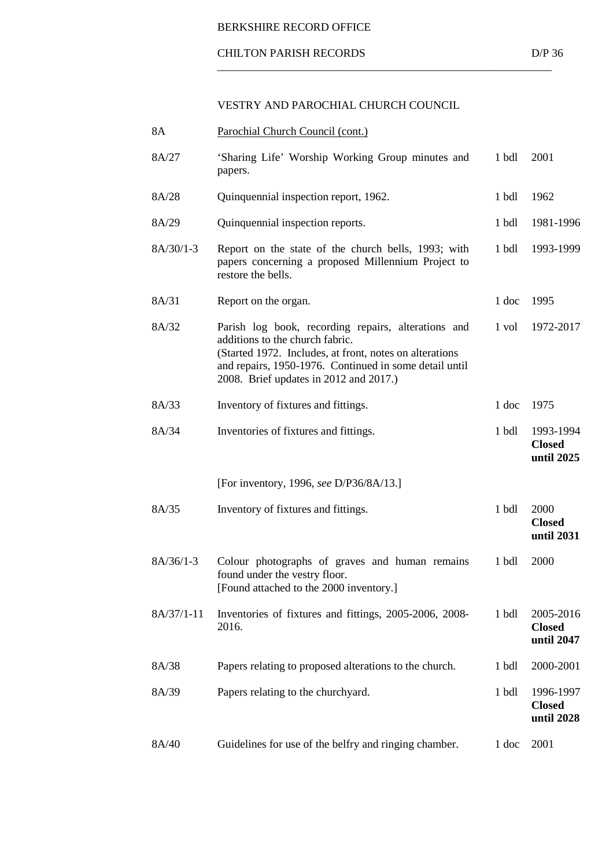#### CHILTON PARISH RECORDS D/P 36

## VESTRY AND PAROCHIAL CHURCH COUNCIL

| 8A          | Parochial Church Council (cont.)                                                                                                                                                                                                                      |                  |                                          |
|-------------|-------------------------------------------------------------------------------------------------------------------------------------------------------------------------------------------------------------------------------------------------------|------------------|------------------------------------------|
| 8A/27       | 'Sharing Life' Worship Working Group minutes and<br>papers.                                                                                                                                                                                           | 1 bdl            | 2001                                     |
| 8A/28       | Quinquennial inspection report, 1962.                                                                                                                                                                                                                 | 1 bdl            | 1962                                     |
| 8A/29       | Quinquennial inspection reports.                                                                                                                                                                                                                      | 1 bdl            | 1981-1996                                |
| $8A/30/1-3$ | Report on the state of the church bells, 1993; with<br>papers concerning a proposed Millennium Project to<br>restore the bells.                                                                                                                       | 1 bdl            | 1993-1999                                |
| 8A/31       | Report on the organ.                                                                                                                                                                                                                                  | 1 doc            | 1995                                     |
| 8A/32       | Parish log book, recording repairs, alterations and<br>additions to the church fabric.<br>(Started 1972. Includes, at front, notes on alterations<br>and repairs, 1950-1976. Continued in some detail until<br>2008. Brief updates in 2012 and 2017.) | 1 vol            | 1972-2017                                |
| 8A/33       | Inventory of fixtures and fittings.                                                                                                                                                                                                                   | 1 doc            | 1975                                     |
| 8A/34       | Inventories of fixtures and fittings.                                                                                                                                                                                                                 | 1 <sub>bdl</sub> | 1993-1994<br><b>Closed</b><br>until 2025 |
|             | [For inventory, 1996, see D/P36/8A/13.]                                                                                                                                                                                                               |                  |                                          |
| 8A/35       | Inventory of fixtures and fittings.                                                                                                                                                                                                                   | 1 <sub>bdl</sub> | 2000<br><b>Closed</b><br>until 2031      |
| $8A/36/1-3$ | Colour photographs of graves and human remains<br>found under the vestry floor.<br>[Found attached to the 2000 inventory.]                                                                                                                            | 1 bdl            | 2000                                     |
| 8A/37/1-11  | Inventories of fixtures and fittings, 2005-2006, 2008-<br>2016.                                                                                                                                                                                       | 1 <sub>bdl</sub> | 2005-2016<br><b>Closed</b><br>until 2047 |
| 8A/38       | Papers relating to proposed alterations to the church.                                                                                                                                                                                                | 1 bdl            | 2000-2001                                |
| 8A/39       | Papers relating to the churchyard.                                                                                                                                                                                                                    | 1 <sub>bdl</sub> | 1996-1997<br><b>Closed</b><br>until 2028 |
| 8A/40       | Guidelines for use of the belfry and ringing chamber.                                                                                                                                                                                                 | 1 doc            | 2001                                     |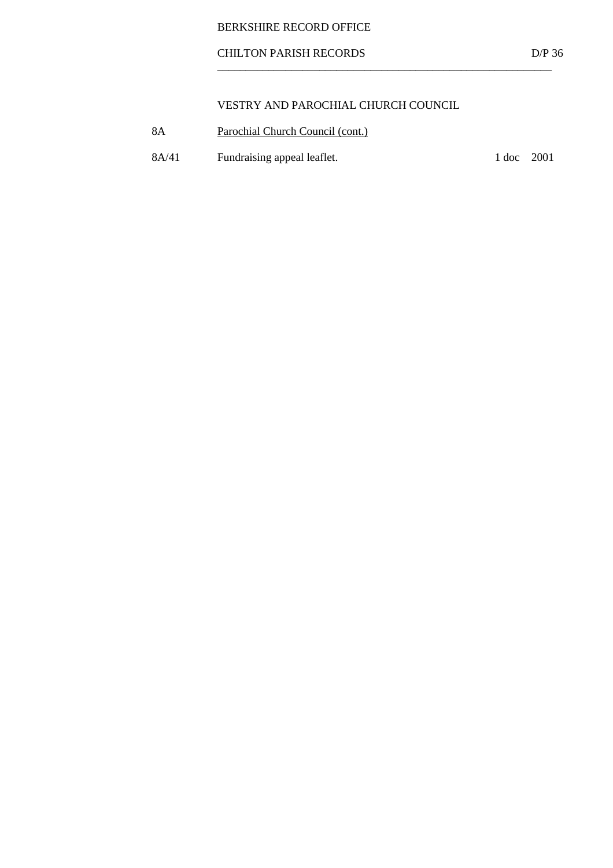## CHILTON PARISH RECORDS D/P 36

## VESTRY AND PAROCHIAL CHURCH COUNCIL

- 8A Parochial Church Council (cont.)
- 8A/41 Fundraising appeal leaflet. 1 doc 2001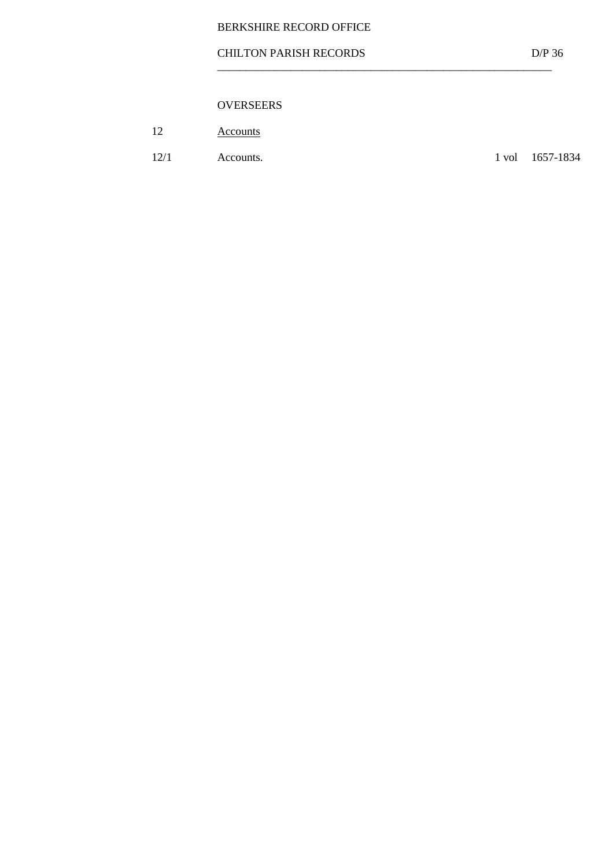## CHILTON PARISH RECORDS D/P 36

 $\overline{\phantom{a}}$  ,  $\overline{\phantom{a}}$  ,  $\overline{\phantom{a}}$  ,  $\overline{\phantom{a}}$  ,  $\overline{\phantom{a}}$  ,  $\overline{\phantom{a}}$  ,  $\overline{\phantom{a}}$  ,  $\overline{\phantom{a}}$  ,  $\overline{\phantom{a}}$  ,  $\overline{\phantom{a}}$  ,  $\overline{\phantom{a}}$  ,  $\overline{\phantom{a}}$  ,  $\overline{\phantom{a}}$  ,  $\overline{\phantom{a}}$  ,  $\overline{\phantom{a}}$  ,  $\overline{\phantom{a}}$ 

## OVERSEERS

| $1^{\circ}$ | Accounts |
|-------------|----------|
|-------------|----------|

12/1 Accounts. 1 vol 1657-1834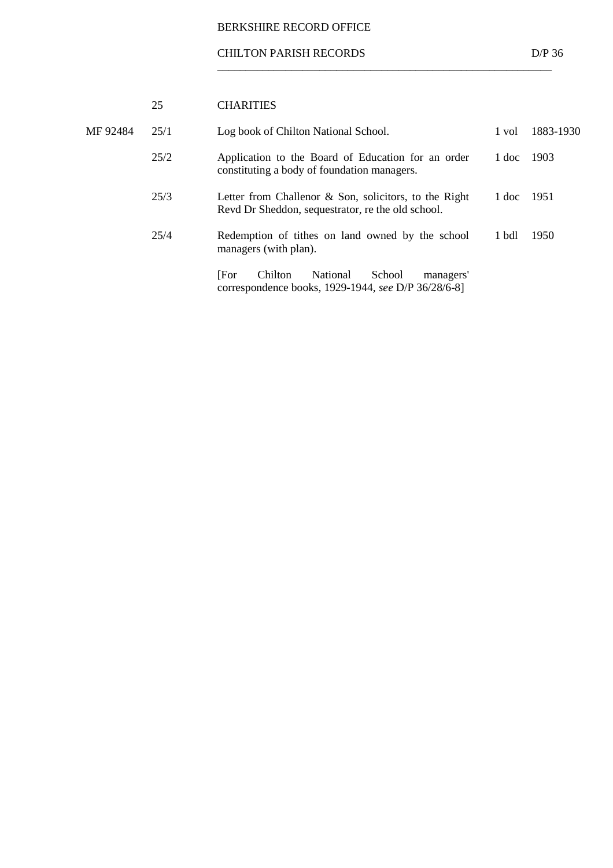#### CHILTON PARISH RECORDS D/P 36

 $\frac{\textcolor{blue}{\textbf{1}}}{\textcolor{blue}{\textbf{2}}}\frac{\textcolor{blue}{\textbf{3}}}{\textcolor{blue}{\textbf{3}}}\frac{\textcolor{blue}{\textbf{4}}}{\textcolor{blue}{\textbf{4}}}\frac{\textcolor{blue}{\textbf{4}}}{\textcolor{blue}{\textbf{4}}}\frac{\textcolor{blue}{\textbf{4}}}{\textcolor{blue}{\textbf{4}}}\frac{\textcolor{blue}{\textbf{4}}}{\textcolor{blue}{\textbf{4}}}\frac{\textcolor{blue}{\textbf{4}}}{\textcolor{blue}{\textbf{4}}}\frac{\textcolor{blue}{\textbf{4}}}{\textcolor{blue}{\textbf{4}}}\frac{\text$ 

|          | 25   | <b>CHARITIES</b>                                                                                              |       |           |
|----------|------|---------------------------------------------------------------------------------------------------------------|-------|-----------|
| MF 92484 | 25/1 | Log book of Chilton National School.                                                                          | 1 vol | 1883-1930 |
|          | 25/2 | Application to the Board of Education for an order<br>constituting a body of foundation managers.             | 1 doc | 1903      |
|          | 25/3 | Letter from Challenor $\&$ Son, solicitors, to the Right<br>Revd Dr Sheddon, sequestrator, re the old school. | 1 doc | 1951      |
|          | 25/4 | Redemption of tithes on land owned by the school<br>managers (with plan).                                     | 1 bdl | 1950      |
|          |      | [For<br>Chilton<br>School<br>National<br>managers'<br>correspondence books, 1929-1944, see D/P 36/28/6-8]     |       |           |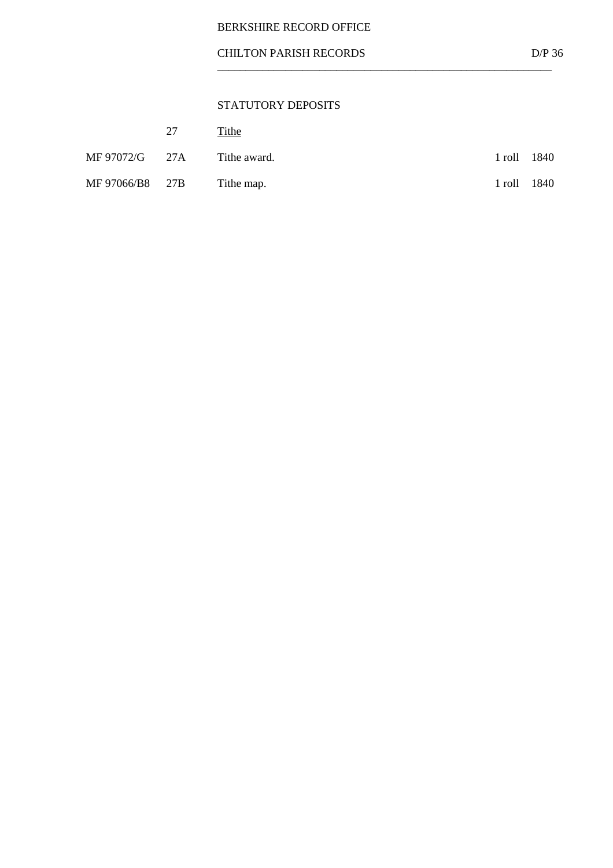## STATUTORY DEPOSITS

|                 | 27 | Tithe        |        |      |
|-----------------|----|--------------|--------|------|
| MF 97072/G 27A  |    | Tithe award. | 1 roll | 1840 |
| MF 97066/B8 27B |    | Tithe map.   | 1 roll | 1840 |

 $\frac{\textcolor{blue}{\textbf{1}}}{\textcolor{blue}{\textbf{2}}}\frac{\textcolor{blue}{\textbf{3}}}{\textcolor{blue}{\textbf{3}}}\frac{\textcolor{blue}{\textbf{4}}}{\textcolor{blue}{\textbf{4}}}\frac{\textcolor{blue}{\textbf{4}}}{\textcolor{blue}{\textbf{4}}}\frac{\textcolor{blue}{\textbf{4}}}{\textcolor{blue}{\textbf{4}}}\frac{\textcolor{blue}{\textbf{4}}}{\textcolor{blue}{\textbf{4}}}\frac{\textcolor{blue}{\textbf{4}}}{\textcolor{blue}{\textbf{4}}}\frac{\textcolor{blue}{\textbf{4}}}{\textcolor{blue}{\textbf{4}}}\frac{\text$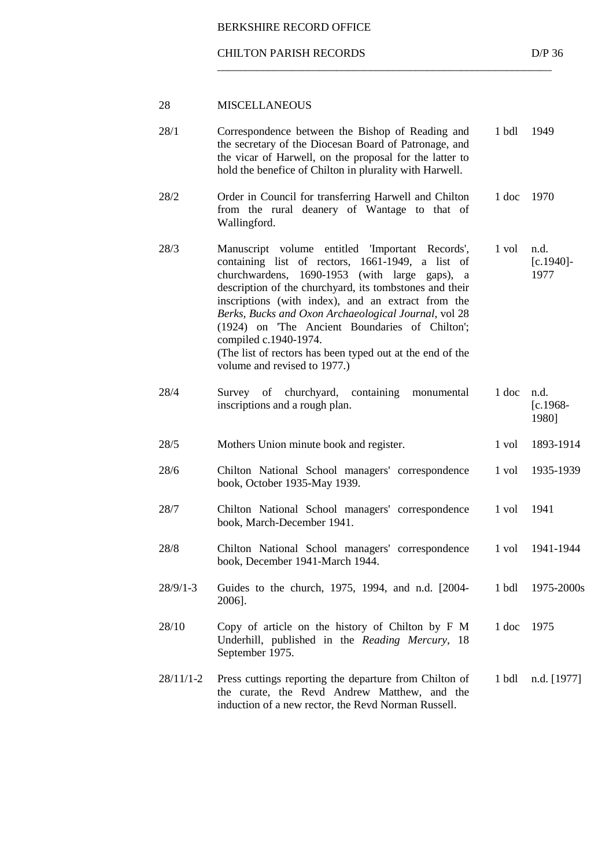#### CHILTON PARISH RECORDS D/P 36

 $\frac{\textcolor{blue}{\textbf{1}}}{\textcolor{blue}{\textbf{2}}}\frac{\textcolor{blue}{\textbf{3}}}{\textcolor{blue}{\textbf{3}}}\frac{\textcolor{blue}{\textbf{4}}}{\textcolor{blue}{\textbf{4}}}\frac{\textcolor{blue}{\textbf{4}}}{\textcolor{blue}{\textbf{4}}}\frac{\textcolor{blue}{\textbf{4}}}{\textcolor{blue}{\textbf{4}}}\frac{\textcolor{blue}{\textbf{4}}}{\textcolor{blue}{\textbf{4}}}\frac{\textcolor{blue}{\textbf{4}}}{\textcolor{blue}{\textbf{4}}}\frac{\textcolor{blue}{\textbf{4}}}{\textcolor{blue}{\textbf{4}}}\frac{\text$ 

| 28          | <b>MISCELLANEOUS</b>                                                                                                                                                                                                                                                                                                                                                                                                                                                                                 |       |                              |
|-------------|------------------------------------------------------------------------------------------------------------------------------------------------------------------------------------------------------------------------------------------------------------------------------------------------------------------------------------------------------------------------------------------------------------------------------------------------------------------------------------------------------|-------|------------------------------|
| 28/1        | Correspondence between the Bishop of Reading and<br>the secretary of the Diocesan Board of Patronage, and<br>the vicar of Harwell, on the proposal for the latter to<br>hold the benefice of Chilton in plurality with Harwell.                                                                                                                                                                                                                                                                      | 1 bdl | 1949                         |
| 28/2        | Order in Council for transferring Harwell and Chilton<br>from the rural deanery of Wantage to that of<br>Wallingford.                                                                                                                                                                                                                                                                                                                                                                                | 1 doc | 1970                         |
| 28/3        | Manuscript volume entitled 'Important Records',<br>containing list of rectors, 1661-1949, a list of<br>churchwardens, 1690-1953 (with large gaps), a<br>description of the churchyard, its tombstones and their<br>inscriptions (with index), and an extract from the<br>Berks, Bucks and Oxon Archaeological Journal, vol 28<br>(1924) on The Ancient Boundaries of Chilton';<br>compiled c.1940-1974.<br>(The list of rectors has been typed out at the end of the<br>volume and revised to 1977.) | 1 vol | n.d.<br>$[c.1940]$ -<br>1977 |
| 28/4        | Survey of churchyard, containing<br>monumental<br>inscriptions and a rough plan.                                                                                                                                                                                                                                                                                                                                                                                                                     | 1 doc | n.d.<br>$[c.1968 -$<br>1980] |
| 28/5        | Mothers Union minute book and register.                                                                                                                                                                                                                                                                                                                                                                                                                                                              | 1 vol | 1893-1914                    |
| 28/6        | Chilton National School managers' correspondence<br>book, October 1935-May 1939.                                                                                                                                                                                                                                                                                                                                                                                                                     | 1 vol | 1935-1939                    |
| 28/7        | Chilton National School managers' correspondence<br>book, March-December 1941.                                                                                                                                                                                                                                                                                                                                                                                                                       | 1 vol | 1941                         |
| 28/8        | Chilton National School managers' correspondence<br>book, December 1941-March 1944.                                                                                                                                                                                                                                                                                                                                                                                                                  | 1 vol | 1941-1944                    |
| $28/9/1-3$  | Guides to the church, 1975, 1994, and n.d. [2004-<br>2006].                                                                                                                                                                                                                                                                                                                                                                                                                                          | 1 bdl | 1975-2000s                   |
| 28/10       | Copy of article on the history of Chilton by F M<br>Underhill, published in the Reading Mercury, 18<br>September 1975.                                                                                                                                                                                                                                                                                                                                                                               | 1 doc | 1975                         |
| $28/11/1-2$ | Press cuttings reporting the departure from Chilton of<br>the curate, the Revd Andrew Matthew, and the<br>induction of a new rector, the Revd Norman Russell.                                                                                                                                                                                                                                                                                                                                        | 1 bdl | n.d. [1977]                  |